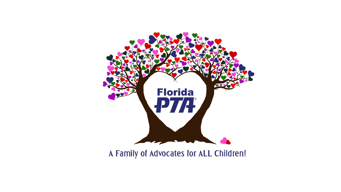

A Family of Advocates for ALL Children!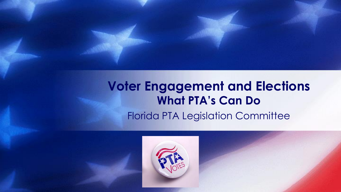### **Voter Engagement and Elections What PTA's Can Do** Florida PTA Legislation Committee

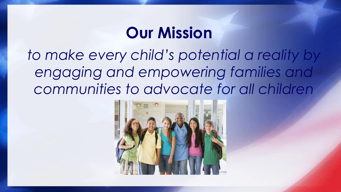## **Our Mission**

*to make every child's potential a reality by engaging and empowering families and communities to advocate for all children*

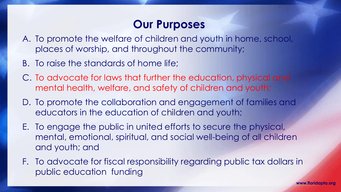### **Our Purposes**

- A. To promote the welfare of children and youth in home, school, places of worship, and throughout the community;
- B. To raise the standards of home life;
- C. To advocate for laws that further the education, physical and mental health, welfare, and safety of children and youth;
- D. To promote the collaboration and engagement of families and educators in the education of children and youth;
- E. To engage the public in united efforts to secure the physical, mental, emotional, spiritual, and social well-being of all children and youth; and
- F. To advocate for fiscal responsibility regarding public tax dollars in public education funding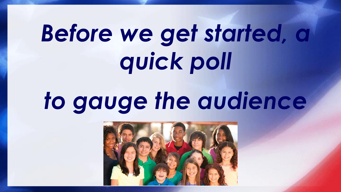# *Before we get started, a quick poll*

## *to gauge the audience*

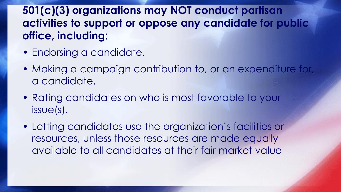### **501(c)(3) organizations may NOT conduct partisan activities to support or oppose any candidate for public office, including:**

- Endorsing a candidate.
- Making a campaign contribution to, or an expenditure for, a candidate.
- Rating candidates on who is most favorable to your issue(s).
- Letting candidates use the organization's facilities or resources, unless those resources are made equally available to all candidates at their fair market value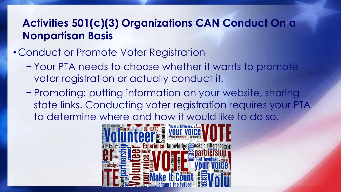### •Conduct or Promote Voter Registration

- − Your PTA needs to choose whether it wants to promote voter registration or actually conduct it.
- − Promoting: putting information on your website, sharing state links. Conducting voter registration requires your PTA to determine where and how it would like to do so.

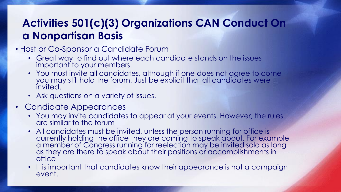- Host or Co-Sponsor a Candidate Forum
	- Great way to find out where each candidate stands on the issues important to your members.
	- You must invite all candidates, although if one does not agree to come you may still hold the forum. Just be explicit that all candidates were invited.
	- Ask questions on a variety of issues.
- Candidate Appearances
	- You may invite candidates to appear at your events. However, the rules are similar to the forum
	- All candidates must be invited, unless the person running for office is currently holding the office they are coming to speak about. For example, a member of Congress running for reelection may be invited solo as long as they are there to speak about their positions or accomplishments in office
	- It is important that candidates know their appearance is not a campaign event.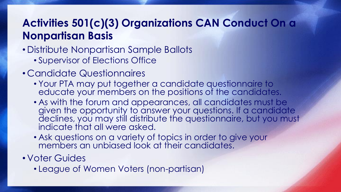• Distribute Nonpartisan Sample Ballots

• Supervisor of Elections Office

- Candidate Questionnaires
	- Your PTA may put together a candidate questionnaire to educate your members on the positions of the candidates.
	- As with the forum and appearances, all candidates must be given the opportunity to answer your questions. If a candidate declines, you may still distribute the questionnaire, but you must indicate that all were asked.
	- Ask questions on a variety of topics in order to give your members an unbiased look at their candidates.

• Voter Guides

• League of Women Voters (non-partisan)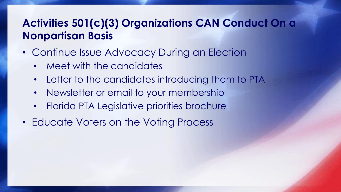- Continue Issue Advocacy During an Election
	- Meet with the candidates
	- Letter to the candidates introducing them to PTA
	- Newsletter or email to your membership
	- Florida PTA Legislative priorities brochure
- Educate Voters on the Voting Process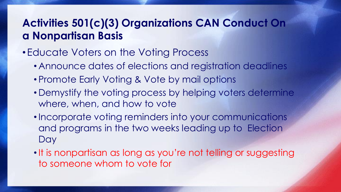### • Educate Voters on the Voting Process

- Announce dates of elections and registration deadlines
- Promote Early Voting & Vote by mail options
- Demystify the voting process by helping voters determine where, when, and how to vote
- •Incorporate voting reminders into your communications and programs in the two weeks leading up to Election Day
- It is nonpartisan as long as you're not telling or suggesting to someone whom to vote for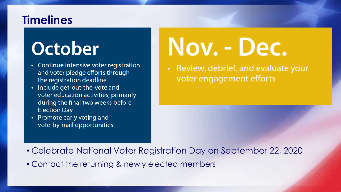### **Timelines**

## October

- Continue intensive voter registration and voter pledge efforts through the registration deadline
- Include get-out-the-vote and voter education activities, primarily during the final two weeks before **Election Day**
- Promote early voting and vote-by-mail opportunities

# Nov. - Dec.

Review, debrief, and evaluate your voter engagement efforts

- Celebrate National Voter Registration Day on September 22, 2020
- Contact the returning & newly elected members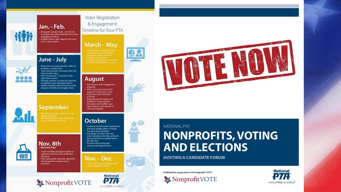

#### Jan. - Feb.

Designate a project lead - an internal champion who will coordinate your voter engagement efforts Establish buy-in and support from your unit or state leaders

#### June - July



Meet with your local elections office to establish a relationship Train and motivate volunteers who will interact with voters Plan and execute 1-2 summer voter registration events Develop and test a system for retuning completed voter registration forms Gather materials and resources to raise program visibility and engage voters



September



Election Day! Create visibility and opportunities to celebrate with ideas like an Election Day party Have appropriate volunteer identified and prepared to answer voting questions

#### Voter Registration & Engagement Timeline for Your PTA

**August** 

activities

**October** 

Election Day

the registration deadline

Promote early voting and

vote-by-mail opportunities

Include get-out-the-vote and





programs<br>Inform your community and supporters about your voter registration and education Hang signage throughout all facilities to create positive reminders and to affirm your organization's commitment to voter participation



Nov. - Dec.





### NATIONAL PTA\*

### **NONPROFITS, VOTING AND ELECTIONS**

**HOSTING A CANDIDATE FORUM** 

Published in cooperation with Nonprofit VOTE

Nonprofit VOTE

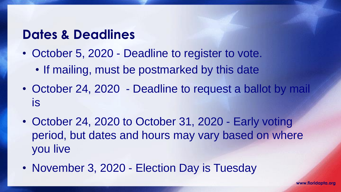### **Dates & Deadlines**

- October 5, 2020 Deadline to register to vote.
	- If mailing, must be postmarked by this date
- October 24, 2020 Deadline to request a ballot by mail is
- October 24, 2020 to October 31, 2020 Early voting period, but dates and hours may vary based on where you live
- November 3, 2020 Election Day is Tuesday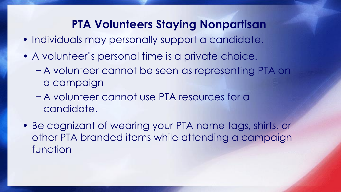### **PTA Volunteers Staying Nonpartisan**

- Individuals may personally support a candidate.
- A volunteer's personal time is a private choice.
	- − A volunteer cannot be seen as representing PTA on a campaign
	- − A volunteer cannot use PTA resources for a candidate.
- Be cognizant of wearing your PTA name tags, shirts, or other PTA branded items while attending a campaign function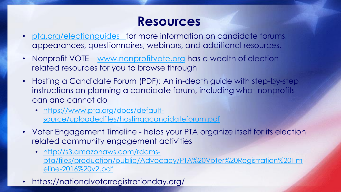### **Resources**

- <pta.org/electionguides> for more information on candidate forums, appearances, questionnaires, webinars, and additional resources.
- Nonprofit VOTE [www.nonprofitvote.org](http://www.nonprofitvote.org/) has a wealth of election related resources for you to browse through
- Hosting a Candidate Forum (PDF): An in-depth guide with step-by-step instructions on planning a candidate forum, including what nonprofits can and cannot do
	- https://www.pta.org/docs/default[source/uploadedfiles/hostingacandidateforum.pdf](https://www.pta.org/docs/default-source/uploadedfiles/hostingacandidateforum.pdf)
- Voter Engagement Timeline helps your PTA organize itself for its election related community engagement activities
	- http://s3.amazonaws.com/rdcms[pta/files/production/public/Advocacy/PTA%20Voter%20Registration%20Tim](http://s3.amazonaws.com/rdcms-pta/files/production/public/Advocacy/PTA%20Voter%20Registration%20Timeline-2016%20v2.pdf) eline-2016%20v2.pdf
- https://nationalvoterregistrationday.org/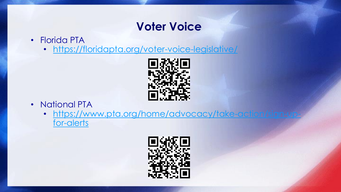### **Voter Voice**

- Florida PTA
	- <https://floridapta.org/voter-voice-legislative/>



- National PTA
	- [https://www.pta.org/home/advocacy/take-action/sign-up](https://www.pta.org/home/advocacy/take-action/sign-up-for-alerts)for-alerts

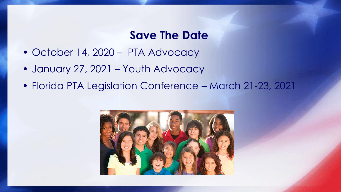### **Save The Date**

- October 14, 2020 PTA Advocacy
- January 27, 2021 Youth Advocacy
- Florida PTA Legislation Conference March 21-23, 2021

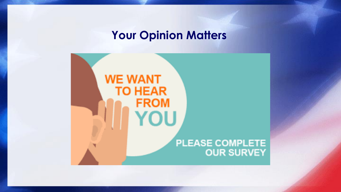### **Your Opinion Matters**

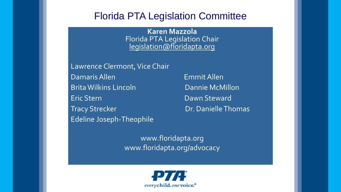### Florida PTA Legislation Committee

**Karen Mazzola** Florida PTA Legislation Chair [legislation@floridapta.org](mailto:legislation@floridapta.org)

Lawrence Clermont, Vice Chair Damaris Allen EmmitAllen Brita Wilkins Lincoln Dannie McMillon Eric Stern Dawn Steward Tracy Strecker **Dr. Danielle Thomas** Edeline Joseph-Theophile

www.floridapta.org www.floridapta.org/advocacy